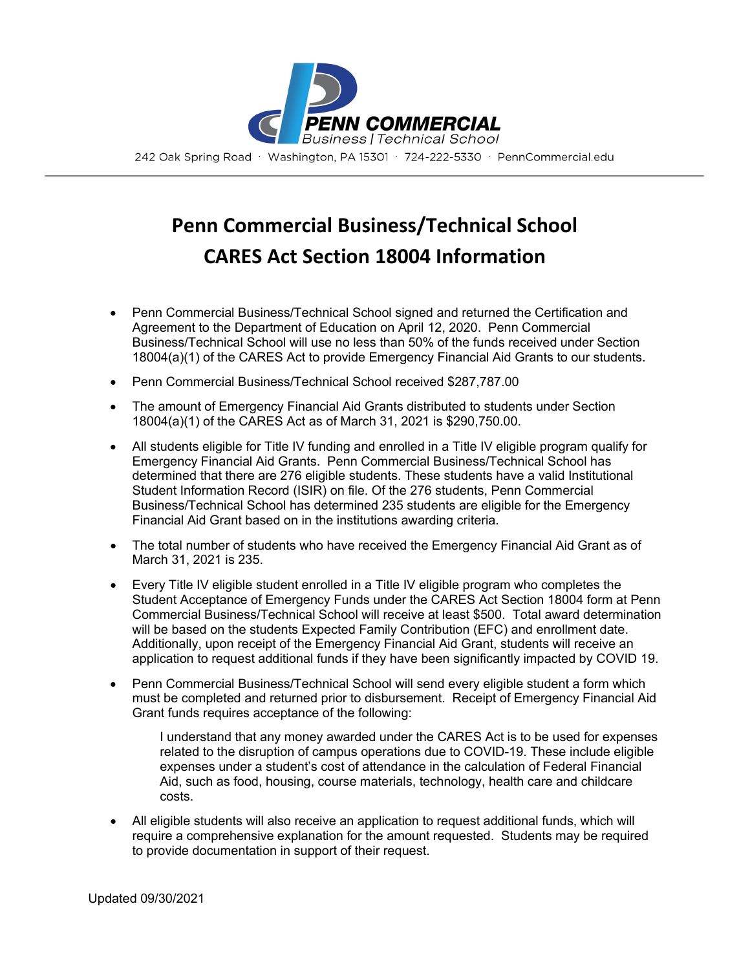

## **Penn Commercial Business/Technical School CARES Act Section 18004 Information**

- Penn Commercial Business/Technical School signed and returned the Certification and Agreement to the Department of Education on April 12, 2020. Penn Commercial Business/Technical School will use no less than 50% of the funds received under Section 18004(a)(1) of the CARES Act to provide Emergency Financial Aid Grants to our students.
- Penn Commercial Business/Technical School received \$287,787.00
- The amount of Emergency Financial Aid Grants distributed to students under Section 18004(a)(1) of the CARES Act as of March 31, 2021 is \$290,750.00.
- All students eligible for Title IV funding and enrolled in a Title IV eligible program qualify for Emergency Financial Aid Grants. Penn Commercial Business/Technical School has determined that there are 276 eligible students. These students have a valid Institutional Student Information Record (ISIR) on file. Of the 276 students, Penn Commercial Business/Technical School has determined 235 students are eligible for the Emergency Financial Aid Grant based on in the institutions awarding criteria.
- The total number of students who have received the Emergency Financial Aid Grant as of March 31, 2021 is 235.
- Every Title IV eligible student enrolled in a Title IV eligible program who completes the Student Acceptance of Emergency Funds under the CARES Act Section 18004 form at Penn Commercial Business/Technical School will receive at least \$500. Total award determination will be based on the students Expected Family Contribution (EFC) and enrollment date. Additionally, upon receipt of the Emergency Financial Aid Grant, students will receive an application to request additional funds if they have been significantly impacted by COVID 19.
- Penn Commercial Business/Technical School will send every eligible student a form which must be completed and returned prior to disbursement. Receipt of Emergency Financial Aid Grant funds requires acceptance of the following:

I understand that any money awarded under the CARES Act is to be used for expenses related to the disruption of campus operations due to COVID-19. These include eligible expenses under a student's cost of attendance in the calculation of Federal Financial Aid, such as food, housing, course materials, technology, health care and childcare costs.

• All eligible students will also receive an application to request additional funds, which will require a comprehensive explanation for the amount requested. Students may be required to provide documentation in support of their request.